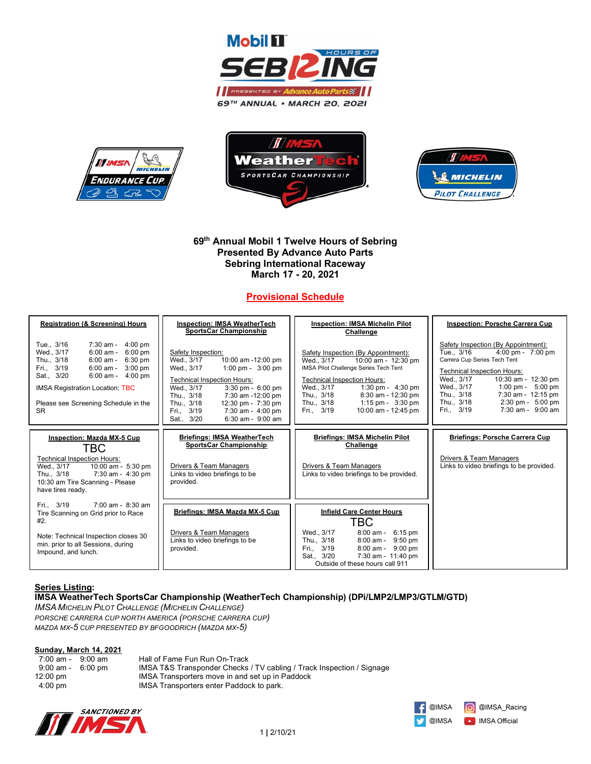







## **69th Annual Mobil 1 Twelve Hours of Sebring Presented By Advance Auto Parts Sebring International Raceway March 17 - 20, 2021**

# **Provisional Schedule**

| <b>Registration (&amp; Screening) Hours</b>                                                                                                                                                                                                                                               | <b>Inspection: IMSA WeatherTech</b><br><b>SportsCar Championship</b>                                                                                                                                                                                                                                            | <b>Inspection: IMSA Michelin Pilot</b><br>Challenge                                                                                                                                                                                                                                                      | <b>Inspection: Porsche Carrera Cup</b>                                                                                                                                                                                                                                                                                                                               |
|-------------------------------------------------------------------------------------------------------------------------------------------------------------------------------------------------------------------------------------------------------------------------------------------|-----------------------------------------------------------------------------------------------------------------------------------------------------------------------------------------------------------------------------------------------------------------------------------------------------------------|----------------------------------------------------------------------------------------------------------------------------------------------------------------------------------------------------------------------------------------------------------------------------------------------------------|----------------------------------------------------------------------------------------------------------------------------------------------------------------------------------------------------------------------------------------------------------------------------------------------------------------------------------------------------------------------|
| Tue., 3/16<br>$7:30$ am - 4:00 pm<br>Wed., 3/17<br>$6:00$ am - $6:00$ pm<br>6:00 am - 6:30 pm<br>Thu., 3/18<br>Fri., 3/19<br>$6:00$ am - $3:00$ pm<br>Sat., 3/20<br>$4:00$ pm<br>6:00 am -<br><b>IMSA Registration Location: TBC</b><br>Please see Screening Schedule in the<br><b>SR</b> | Safety Inspection:<br>Wed., 3/17<br>10:00 am -12:00 pm<br>1:00 pm - 3:00 pm<br>Wed., 3/17<br><b>Technical Inspection Hours:</b><br>Wed., 3/17<br>3:30 pm - 6:00 pm<br>7:30 am -12:00 pm<br>Thu., 3/18<br>Thu., 3/18<br>12:30 pm - 7:30 pm<br>Fri., 3/19<br>7:30 am - 4:00 pm<br>Sat., 3/20<br>6:30 am - 9:00 am | Safety Inspection (By Appointment):<br>Wed., 3/17<br>10:00 am - 12:30 pm<br>IMSA Pilot Challenge Series Tech Tent<br><b>Technical Inspection Hours:</b><br>1:30 pm - 4:30 pm<br>Wed., 3/17<br>8:30 am - 12:30 pm<br>Thu., 3/18<br>Thu., 3/18<br>1:15 pm - $3:30$ pm<br>10:00 am - 12:45 pm<br>Fri., 3/19 | Safety Inspection (By Appointment):<br>$4:00 \text{ pm} - 7:00 \text{ pm}$<br>Tue., 3/16<br>Carrera Cup Series Tech Tent<br><b>Technical Inspection Hours:</b><br>Wed., 3/17<br>10:30 am - 12:30 pm<br>Wed., 3/17<br>1:00 pm - $5:00$ pm<br>Thu., 3/18<br>7:30 am - 12:15 pm<br>$2:30 \text{ pm} - 5:00 \text{ pm}$<br>Thu., 3/18<br>Fri., 3/19<br>7:30 am - 9:00 am |
| <b>Inspection: Mazda MX-5 Cup</b><br>TBC                                                                                                                                                                                                                                                  | <b>Briefings: IMSA WeatherTech</b><br><b>SportsCar Championship</b>                                                                                                                                                                                                                                             | <b>Briefings: IMSA Michelin Pilot</b><br><b>Challenge</b>                                                                                                                                                                                                                                                | <b>Briefings: Porsche Carrera Cup</b>                                                                                                                                                                                                                                                                                                                                |
| <b>Technical Inspection Hours:</b><br>Wed., 3/17 10:00 am - 5:30 pm<br>7:30 am - 4:30 pm<br>Thu., 3/18<br>10:30 am Tire Scanning - Please<br>have tires ready.                                                                                                                            | Drivers & Team Managers<br>Links to video briefings to be<br>provided.                                                                                                                                                                                                                                          | <b>Drivers &amp; Team Managers</b><br>Links to video briefings to be provided.                                                                                                                                                                                                                           | <b>Drivers &amp; Team Managers</b><br>Links to video briefings to be provided.                                                                                                                                                                                                                                                                                       |
| Fri., 3/19<br>$7:00$ am - $8:30$ am<br>Tire Scanning on Grid prior to Race<br>#2.<br>Note: Technical Inspection closes 30<br>min. prior to all Sessions, during<br>Impound, and lunch.                                                                                                    | Briefings: IMSA Mazda MX-5 Cup<br>Drivers & Team Managers<br>Links to video briefings to be<br>provided.                                                                                                                                                                                                        | <b>Infield Care Center Hours</b><br>TBC<br>Wed., 3/17<br>$8:00$ am - $6:15$ pm<br>Thu., 3/18<br>8:00 am - 9:50 pm<br>Fri., 3/19<br>$8:00 \text{ am} - 9:00 \text{ pm}$<br>Sat., 3/20<br>7:30 am - 11:40 pm<br>Outside of these hours call 911                                                            |                                                                                                                                                                                                                                                                                                                                                                      |

# **Series Listing:**

## **IMSA WeatherTech SportsCar Championship (WeatherTech Championship) (DPi/LMP2/LMP3/GTLM/GTD)**

*IMSA MICHELIN PILOT CHALLENGE (MICHELIN CHALLENGE) PORSCHE CARRERA CUP NORTH AMERICA (PORSCHE CARRERA CUP) MAZDA MX-5 CUP PRESENTED BY BFGOODRICH (MAZDA MX-5)*

## **Sunday, March 14, 2021**

| $7:00$ am - $9:00$ am | Hall of Fame Fun Run On-Track                                         |
|-----------------------|-----------------------------------------------------------------------|
| 9:00 am - 6:00 pm     | IMSA T&S Transponder Checks / TV cabling / Track Inspection / Signage |
| 12:00 pm              | IMSA Transporters move in and set up in Paddock                       |
| $4:00$ pm             | IMSA Transporters enter Paddock to park.                              |
|                       |                                                                       |



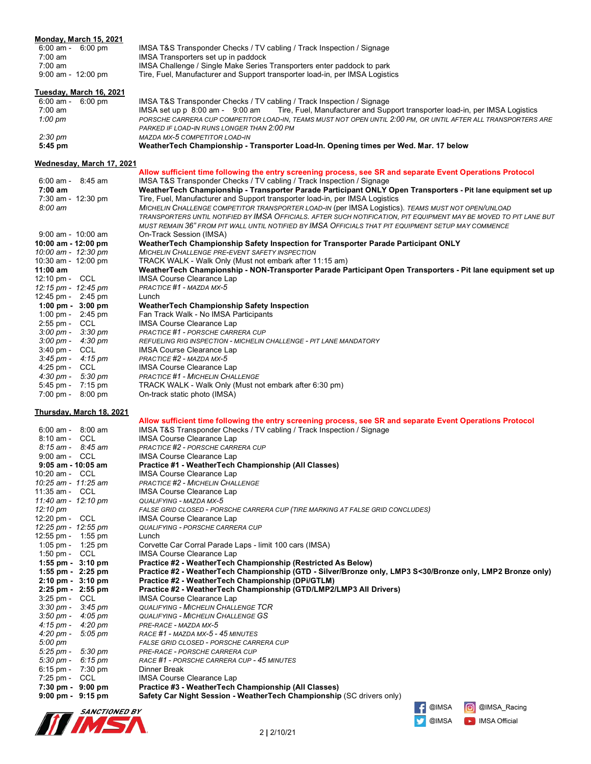|                                                                            | Monday, March 15, 2021    |                                                                                                                                                                                                                          |
|----------------------------------------------------------------------------|---------------------------|--------------------------------------------------------------------------------------------------------------------------------------------------------------------------------------------------------------------------|
| 6:00 am - 6:00 pm<br>$7:00 \text{ am}$                                     |                           | IMSA T&S Transponder Checks / TV cabling / Track Inspection / Signage<br>IMSA Transporters set up in paddock                                                                                                             |
| $7:00$ am                                                                  |                           | IMSA Challenge / Single Make Series Transporters enter paddock to park                                                                                                                                                   |
| $9:00$ am - 12:00 pm                                                       |                           | Tire, Fuel, Manufacturer and Support transporter load-in, per IMSA Logistics                                                                                                                                             |
|                                                                            |                           |                                                                                                                                                                                                                          |
| $6:00$ am - $6:00$ pm                                                      | Tuesday, March 16, 2021   |                                                                                                                                                                                                                          |
| $7:00 \text{ am}$                                                          |                           | IMSA T&S Transponder Checks / TV cabling / Track Inspection / Signage<br>IMSA set up p 8:00 am - 9:00 am<br>Tire, Fuel, Manufacturer and Support transporter load-in, per IMSA Logistics                                 |
| $1:00 \text{ pm}$                                                          |                           | PORSCHE CARRERA CUP COMPETITOR LOAD-IN, TEAMS MUST NOT OPEN UNTIL 2:00 PM, OR UNTIL AFTER ALL TRANSPORTERS ARE                                                                                                           |
|                                                                            |                           | PARKED IF LOAD-IN RUNS LONGER THAN 2:00 PM                                                                                                                                                                               |
| $2:30 \text{ pm}$                                                          |                           | MAZDA MX-5 COMPETITOR LOAD-IN                                                                                                                                                                                            |
| $5:45$ pm                                                                  |                           | WeatherTech Championship - Transporter Load-In. Opening times per Wed. Mar. 17 below                                                                                                                                     |
|                                                                            | Wednesday, March 17, 2021 |                                                                                                                                                                                                                          |
|                                                                            |                           | Allow sufficient time following the entry screening process, see SR and separate Event Operations Protocol                                                                                                               |
| $6:00$ am - $8:45$ am                                                      |                           | IMSA T&S Transponder Checks / TV cabling / Track Inspection / Signage                                                                                                                                                    |
| 7:00 am                                                                    |                           | WeatherTech Championship - Transporter Parade Participant ONLY Open Transporters - Pit lane equipment set up                                                                                                             |
| 7:30 am - 12:30 pm<br>$8:00 \text{ am}$                                    |                           | Tire, Fuel, Manufacturer and Support transporter load-in, per IMSA Logistics                                                                                                                                             |
|                                                                            |                           | MICHELIN CHALLENGE COMPETITOR TRANSPORTER LOAD-IN (per IMSA Logistics). TEAMS MUST NOT OPEN/UNLOAD<br>TRANSPORTERS UNTIL NOTIFIED BY IMSA OFFICIALS. AFTER SUCH NOTIFICATION, PIT EQUIPMENT MAY BE MOVED TO PIT LANE BUT |
|                                                                            |                           | MUST REMAIN 36" FROM PIT WALL UNTIL NOTIFIED BY IMSA OFFICIALS THAT PIT EQUIPMENT SETUP MAY COMMENCE                                                                                                                     |
| $9:00$ am - $10:00$ am                                                     |                           | On-Track Session (IMSA)                                                                                                                                                                                                  |
| 10:00 am - 12:00 pm                                                        |                           | WeatherTech Championship Safety Inspection for Transporter Parade Participant ONLY                                                                                                                                       |
| 10:00 am - 12:30 pm                                                        |                           | <b>MICHELIN CHALLENGE PRE-EVENT SAFETY INSPECTION</b>                                                                                                                                                                    |
| 10:30 am - 12:00 pm<br>$11:00$ am                                          |                           | TRACK WALK - Walk Only (Must not embark after 11:15 am)<br>WeatherTech Championship - NON-Transporter Parade Participant Open Transporters - Pit lane equipment set up                                                   |
| 12:10 pm - CCL                                                             |                           | <b>IMSA Course Clearance Lap</b>                                                                                                                                                                                         |
| 12:15 pm - 12:45 pm                                                        |                           | PRACTICE #1 - MAZDA MX-5                                                                                                                                                                                                 |
| 12:45 pm - 2:45 pm                                                         |                           | Lunch                                                                                                                                                                                                                    |
| $1:00 \text{ pm} - 3:00 \text{ pm}$                                        |                           | <b>WeatherTech Championship Safety Inspection</b>                                                                                                                                                                        |
| 1:00 pm - 2:45 pm<br>$2:55$ pm - CCL                                       |                           | Fan Track Walk - No IMSA Participants<br><b>IMSA Course Clearance Lap</b>                                                                                                                                                |
| $3:00 \text{ pm} - 3:30 \text{ pm}$                                        |                           | PRACTICE #1 - PORSCHE CARRERA CUP                                                                                                                                                                                        |
| $3:00 \text{ pm} - 4:30 \text{ pm}$                                        |                           | REFUELING RIG INSPECTION - MICHELIN CHALLENGE - PIT LANE MANDATORY                                                                                                                                                       |
| 3:40 pm - CCL                                                              |                           | <b>IMSA Course Clearance Lap</b>                                                                                                                                                                                         |
| $3:45 \text{ pm} - 4:15 \text{ pm}$                                        |                           | PRACTICE #2 - MAZDA MX-5                                                                                                                                                                                                 |
| $4:25 \text{ pm} - \text{CCL}$<br>$4:30 \text{ pm} - 5:30 \text{ pm}$      |                           | IMSA Course Clearance Lap<br><b>PRACTICE #1 - MICHELIN CHALLENGE</b>                                                                                                                                                     |
| 5:45 pm - 7:15 pm                                                          |                           | TRACK WALK - Walk Only (Must not embark after 6:30 pm)                                                                                                                                                                   |
| $7:00 \text{ pm} - 8:00 \text{ pm}$                                        |                           | On-track static photo (IMSA)                                                                                                                                                                                             |
|                                                                            |                           |                                                                                                                                                                                                                          |
|                                                                            | Thursday, March 18, 2021  | Allow sufficient time following the entry screening process, see SR and separate Event Operations Protocol                                                                                                               |
| $6:00$ am - $8:00$ am                                                      |                           | IMSA T&S Transponder Checks / TV cabling / Track Inspection / Signage                                                                                                                                                    |
| 8:10 am - CCL                                                              |                           | <b>IMSA Course Clearance Lap</b>                                                                                                                                                                                         |
| $8:15$ am - $8:45$ am                                                      |                           | PRACTICE #2 - PORSCHE CARRERA CUP                                                                                                                                                                                        |
| $9:00$ am - CCL                                                            |                           | <b>IMSA Course Clearance Lap</b>                                                                                                                                                                                         |
| 9:05 am - 10:05 am<br>10:20 am - CCL                                       |                           | Practice #1 - WeatherTech Championship (All Classes)<br>IMSA Course Clearance Lap                                                                                                                                        |
| 10:25 am - 11:25 am                                                        |                           | <b>PRACTICE #2 - MICHELIN CHALLENGE</b>                                                                                                                                                                                  |
| 11:35 am - CCL                                                             |                           | <b>IMSA Course Clearance Lap</b>                                                                                                                                                                                         |
| 11:40 am - 12:10 pm                                                        |                           | QUALIFYING - MAZDA MX-5                                                                                                                                                                                                  |
| 12:10 pm                                                                   |                           | FALSE GRID CLOSED - PORSCHE CARRERA CUP (TIRE MARKING AT FALSE GRID CONCLUDES)                                                                                                                                           |
| 12:20 pm - CCL<br>12:25 pm - 12:55 pm                                      |                           | <b>IMSA Course Clearance Lap</b><br>QUALIFYING - PORSCHE CARRERA CUP                                                                                                                                                     |
| 12:55 pm - 1:55 pm                                                         |                           | Lunch                                                                                                                                                                                                                    |
| 1:05 pm - 1:25 pm                                                          |                           | Corvette Car Corral Parade Laps - limit 100 cars (IMSA)                                                                                                                                                                  |
| 1:50 pm - $CCL$                                                            |                           | <b>IMSA Course Clearance Lap</b>                                                                                                                                                                                         |
| 1:55 pm - 3:10 pm                                                          |                           | Practice #2 - WeatherTech Championship (Restricted As Below)                                                                                                                                                             |
| 1:55 pm - $2:25$ pm<br>$2:10 \text{ pm} - 3:10 \text{ pm}$                 |                           | Practice #2 - WeatherTech Championship (GTD - Silver/Bronze only, LMP3 S<30/Bronze only, LMP2 Bronze only)<br>Practice #2 - WeatherTech Championship (DPi/GTLM)                                                          |
| $2:25$ pm - $2:55$ pm                                                      |                           | Practice #2 - WeatherTech Championship (GTD/LMP2/LMP3 All Drivers)                                                                                                                                                       |
| $3:25 \text{ pm} - \text{CCL}$                                             |                           | <b>IMSA Course Clearance Lap</b>                                                                                                                                                                                         |
| $3:30 \text{ pm} - 3:45 \text{ pm}$                                        |                           | <b>QUALIFYING - MICHELIN CHALLENGE TCR</b>                                                                                                                                                                               |
| $3:50 \text{ pm} - 4:05 \text{ pm}$                                        |                           | <b>QUALIFYING - MICHELIN CHALLENGE GS</b>                                                                                                                                                                                |
| $4:15 \text{ pm} - 4:20 \text{ pm}$<br>$4:20 \text{ pm} - 5:05 \text{ pm}$ |                           | PRE-RACE - MAZDA MX-5<br>RACE #1 - MAZDA MX-5 - 45 MINUTES                                                                                                                                                               |
| $5:00 \text{ pm}$                                                          |                           | FALSE GRID CLOSED - PORSCHE CARRERA CUP                                                                                                                                                                                  |
| $5:25 \text{ pm} - 5:30 \text{ pm}$                                        |                           | PRE-RACE - PORSCHE CARRERA CUP                                                                                                                                                                                           |
| $5:30 \text{ pm} - 6:15 \text{ pm}$                                        |                           | RACE #1 - PORSCHE CARRERA CUP - 45 MINUTES                                                                                                                                                                               |
| $6:15 \text{ pm} - 7:30 \text{ pm}$                                        |                           | Dinner Break                                                                                                                                                                                                             |
| $7:25 \text{ pm} - \text{CCL}$<br>$7:30 \text{ pm} - 9:00 \text{ pm}$      |                           | IMSA Course Clearance Lap<br>Practice #3 - WeatherTech Championship (All Classes)                                                                                                                                        |
| $9:00 \text{ pm} - 9:15 \text{ pm}$                                        |                           | Safety Car Night Session - Weather Tech Championship (SC drivers only)                                                                                                                                                   |
|                                                                            |                           | @IMSA<br>@IMSA_Racing                                                                                                                                                                                                    |
|                                                                            | <i>SANCTIONED BY</i>      |                                                                                                                                                                                                                          |

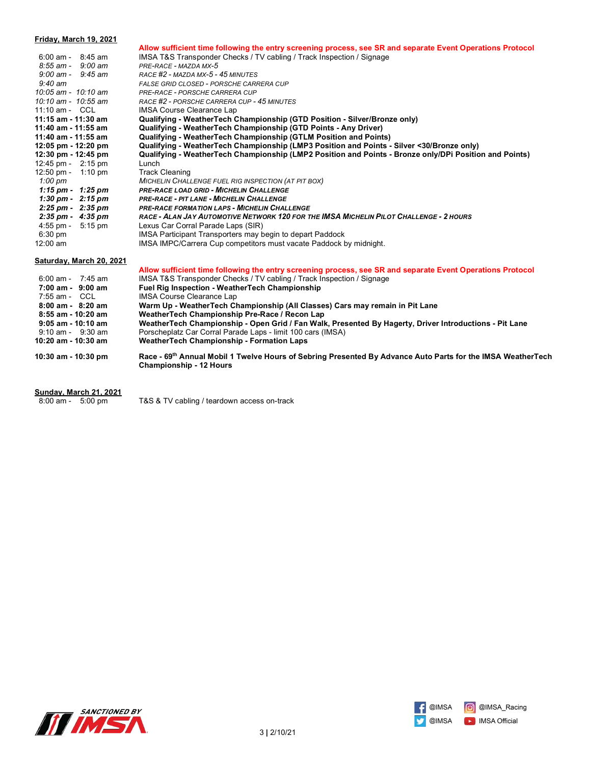### **Friday, March 19, 2021 Allow sufficient time following the entry screening process, see SR and separate Event Operations Protocol** 6:00 am - 8:45 am IMSA T&S Transponder Checks / TV cabling / Track Inspection / Signage  *8:55 am - 9:00 am PRE-RACE - MAZDA MX-5 9:00 am - 9:45 am RACE #2 - MAZDA MX-5 - 45 MINUTES 9:40 am FALSE GRID CLOSED - PORSCHE CARRERA CUP 10:05 am - 10:10 am PRE-RACE - PORSCHE CARRERA CUP 10:10 am - 10:55 am RACE #2 - PORSCHE CARRERA CUP - 45 MINUTES* 11:10 am - CCL IMSA Course Clearance Lap<br>11:15 am - 11:30 am Qualifying - Weather Tech C **11:15 am - 11:30 am Qualifying - WeatherTech Championship (GTD Position - Silver/Bronze only) 11:40 am - 11:55 am Qualifying - WeatherTech Championship (GTD Points - Any Driver) 11:40 am - 11:55 am Qualifying - WeatherTech Championship (GTLM Position and Points) 12:05 pm - 12:20 pm Qualifying - WeatherTech Championship (LMP3 Position and Points - Silver <30/Bronze only) 12:30 pm - 12:45 pm Qualifying - WeatherTech Championship (LMP2 Position and Points - Bronze only/DPi Position and Points)** 12:45 pm - 2:15 pm Lunch 12:50 pm - 1:10 pm Track Cleaning  *1:00 pm MICHELIN CHALLENGE FUEL RIG INSPECTION (AT PIT BOX) 1:15 pm - 1:25 pm PRE-RACE LOAD GRID - MICHELIN CHALLENGE 1:30 pm - 2:15 pm PRE-RACE - PIT LANE - MICHELIN CHALLENGE 2:25 pm - 2:35 pm PRE-RACE FORMATION LAPS - MICHELIN CHALLENGE 2:35 pm - 4:35 pm RACE - ALAN JAY AUTOMOTIVE NETWORK 120 FOR THE IMSA MICHELIN PILOT CHALLENGE - 2 HOURS* 4:55 pm - 5:15 pm Lexus Car Corral Parade Laps (SIR) 6:30 pm IMSA Participant Transporters may begin to depart Paddock 12:00 am **IMSA IMPC/Carrera Cup competitors must vacate Paddock by midnight. Saturday, March 20, 2021 Allow sufficient time following the entry screening process, see SR and separate Event Operations Protocol** 6:00 am - 7:45 am IMSA T&S Transponder Checks / TV cabling / Track Inspection / Signage<br>7:00 am - 9:00 am Fuel Rig Inspection - WeatherTech Championship **7:00 am - 9:00 am Fuel Rig Inspection - WeatherTech Championship 7:55 am - CCL** IMSA Course Clearance Lap<br>**8:00 am - 8:20 am Warm Up - WeatherTech Cl**

 **8:00 am - 8:20 am Warm Up - WeatherTech Championship (All Classes) Cars may remain in Pit Lane 8:55 am - 10:20 am WeatherTech Championship Pre-Race / Recon Lap 9:05 am - 10:10 am WeatherTech Championship - Open Grid / Fan Walk, Presented By Hagerty, Driver Introductions - Pit Lane** 9:10 am - 9:30 am Porscheplatz Car Corral Parade Laps - limit 100 cars (IMSA) **10:20 am - 10:30 am WeatherTech Championship - Formation Laps**

**10:30 am - 10:30 pm Race - 69th Annual Mobil 1 Twelve Hours of Sebring Presented By Advance Auto Parts for the IMSA WeatherTech Championship - 12 Hours**

- **Sunday, March 21, 2021**
- 

8:00 am - 5:00 pm T&S & TV cabling / teardown access on-track



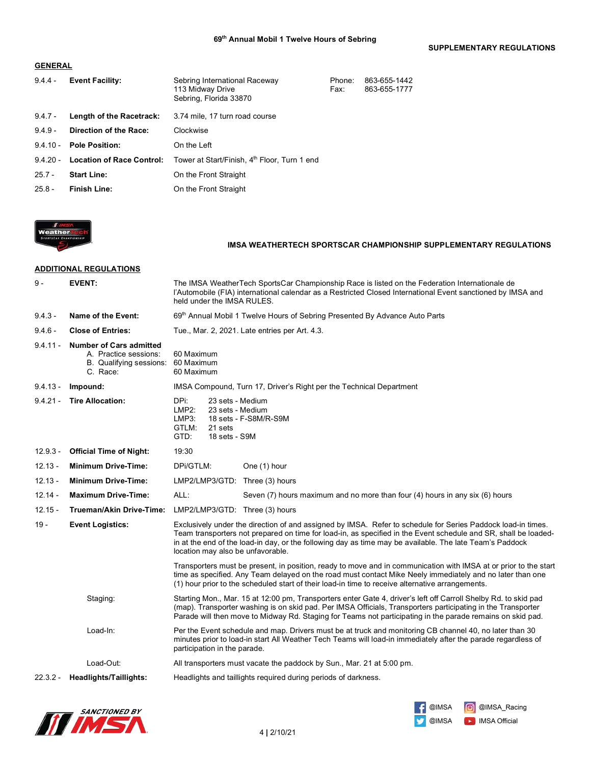**SUPPLEMENTARY REGULATIONS**

## **GENERAL**

| $9.4.4 -$  | <b>Event Facility:</b>           | Sebring International Raceway<br>113 Midway Drive<br>Sebring, Florida 33870 | Phone:<br>Fax: | 863-655-1442<br>863-655-1777 |
|------------|----------------------------------|-----------------------------------------------------------------------------|----------------|------------------------------|
| $9.4.7 -$  | Length of the Racetrack:         | 3.74 mile, 17 turn road course                                              |                |                              |
| $9.4.9 -$  | Direction of the Race:           | Clockwise                                                                   |                |                              |
| $9.4.10 -$ | <b>Pole Position:</b>            | On the Left                                                                 |                |                              |
| $9.4.20 -$ | <b>Location of Race Control:</b> | Tower at Start/Finish, 4 <sup>th</sup> Floor, Turn 1 end                    |                |                              |
| $25.7 -$   | <b>Start Line:</b>               | On the Front Straight                                                       |                |                              |
| $25.8 -$   | Finish Line:                     | On the Front Straight                                                       |                |                              |



## **IMSA WEATHERTECH SPORTSCAR CHAMPIONSHIP SUPPLEMENTARY REGULATIONS**

## **ADDITIONAL REGULATIONS**

| $9 -$                           | <b>EVENT:</b>                                                                                  | The IMSA WeatherTech SportsCar Championship Race is listed on the Federation Internationale de<br>l'Automobile (FIA) international calendar as a Restricted Closed International Event sanctioned by IMSA and<br>held under the IMSA RULES.                                                                                                                                      |  |
|---------------------------------|------------------------------------------------------------------------------------------------|----------------------------------------------------------------------------------------------------------------------------------------------------------------------------------------------------------------------------------------------------------------------------------------------------------------------------------------------------------------------------------|--|
| $9.4.3 -$                       | Name of the Event:                                                                             | 69th Annual Mobil 1 Twelve Hours of Sebring Presented By Advance Auto Parts                                                                                                                                                                                                                                                                                                      |  |
| $9.4.6 -$                       | <b>Close of Entries:</b>                                                                       | Tue., Mar. 2, 2021. Late entries per Art. 4.3.                                                                                                                                                                                                                                                                                                                                   |  |
| $9.4.11 -$                      | <b>Number of Cars admitted</b><br>A. Practice sessions:<br>B. Qualifying sessions:<br>C. Race: | 60 Maximum<br>60 Maximum<br>60 Maximum                                                                                                                                                                                                                                                                                                                                           |  |
| $9.4.13 -$                      | Impound:                                                                                       | IMSA Compound, Turn 17, Driver's Right per the Technical Department                                                                                                                                                                                                                                                                                                              |  |
| $9.4.21 -$                      | <b>Tire Allocation:</b>                                                                        | DPi:<br>23 sets - Medium<br>LMP2:<br>23 sets - Medium<br>LMP3:<br>18 sets - F-S8M/R-S9M<br>GTLM:<br>21 sets<br>GTD:<br>18 sets - S9M                                                                                                                                                                                                                                             |  |
| $12.9.3 -$                      | <b>Official Time of Night:</b>                                                                 | 19:30                                                                                                                                                                                                                                                                                                                                                                            |  |
| $12.13 -$                       | <b>Minimum Drive-Time:</b>                                                                     | DPi/GTLM:<br>One (1) hour                                                                                                                                                                                                                                                                                                                                                        |  |
| $12.13 -$                       | <b>Minimum Drive-Time:</b>                                                                     | LMP2/LMP3/GTD: Three (3) hours                                                                                                                                                                                                                                                                                                                                                   |  |
| $12.14 -$                       | <b>Maximum Drive-Time:</b>                                                                     | ALL:<br>Seven (7) hours maximum and no more than four (4) hours in any six (6) hours                                                                                                                                                                                                                                                                                             |  |
| $12.15 -$                       | Trueman/Akin Drive-Time:                                                                       | LMP2/LMP3/GTD: Three (3) hours                                                                                                                                                                                                                                                                                                                                                   |  |
| 19 -<br><b>Event Logistics:</b> |                                                                                                | Exclusively under the direction of and assigned by IMSA. Refer to schedule for Series Paddock load-in times.<br>Team transporters not prepared on time for load-in, as specified in the Event schedule and SR, shall be loaded-<br>in at the end of the load-in day, or the following day as time may be available. The late Team's Paddock<br>location may also be unfavorable. |  |
|                                 |                                                                                                | Transporters must be present, in position, ready to move and in communication with IMSA at or prior to the start<br>time as specified. Any Team delayed on the road must contact Mike Neely immediately and no later than one<br>(1) hour prior to the scheduled start of their load-in time to receive alternative arrangements.                                                |  |
|                                 | Staging:                                                                                       | Starting Mon., Mar. 15 at 12:00 pm, Transporters enter Gate 4, driver's left off Carroll Shelby Rd. to skid pad<br>(map). Transporter washing is on skid pad. Per IMSA Officials, Transporters participating in the Transporter<br>Parade will then move to Midway Rd. Staging for Teams not participating in the parade remains on skid pad.                                    |  |
|                                 | Load-In:                                                                                       | Per the Event schedule and map. Drivers must be at truck and monitoring CB channel 40, no later than 30<br>minutes prior to load-in start All Weather Tech Teams will load-in immediately after the parade regardless of<br>participation in the parade.                                                                                                                         |  |
|                                 | Load-Out:                                                                                      | All transporters must vacate the paddock by Sun., Mar. 21 at 5:00 pm.                                                                                                                                                                                                                                                                                                            |  |
| $22.3.2 -$                      | Headlights/Taillights:                                                                         | Headlights and taillights required during periods of darkness.                                                                                                                                                                                                                                                                                                                   |  |



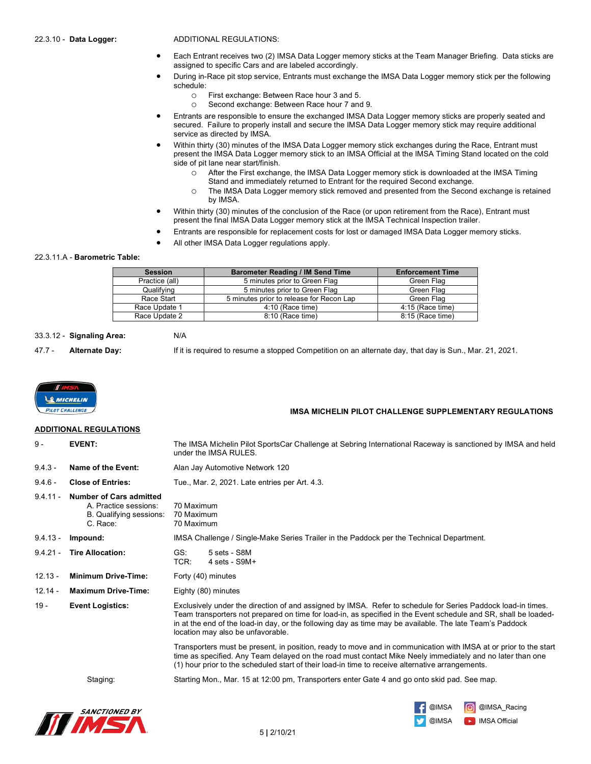22.3.10 - **Data Logger:** ADDITIONAL REGULATIONS:

- Each Entrant receives two (2) IMSA Data Logger memory sticks at the Team Manager Briefing. Data sticks are assigned to specific Cars and are labeled accordingly.
- During in-Race pit stop service, Entrants must exchange the IMSA Data Logger memory stick per the following schedule:
	- o First exchange: Between Race hour 3 and 5.
	- o Second exchange: Between Race hour 7 and 9.
- Entrants are responsible to ensure the exchanged IMSA Data Logger memory sticks are properly seated and secured. Failure to properly install and secure the IMSA Data Logger memory stick may require additional service as directed by IMSA.
- Within thirty (30) minutes of the IMSA Data Logger memory stick exchanges during the Race, Entrant must present the IMSA Data Logger memory stick to an IMSA Official at the IMSA Timing Stand located on the cold side of pit lane near start/finish.
	- o After the First exchange, the IMSA Data Logger memory stick is downloaded at the IMSA Timing Stand and immediately returned to Entrant for the required Second exchange.
	- o The IMSA Data Logger memory stick removed and presented from the Second exchange is retained
		- by IMSA.
- Within thirty (30) minutes of the conclusion of the Race (or upon retirement from the Race), Entrant must present the final IMSA Data Logger memory stick at the IMSA Technical Inspection trailer.
- Entrants are responsible for replacement costs for lost or damaged IMSA Data Logger memory sticks.
- All other IMSA Data Logger regulations apply.

## 22.3.11.A - **Barometric Table:**

| <b>Session</b> | <b>Barometer Reading / IM Send Time</b>  | <b>Enforcement Time</b> |
|----------------|------------------------------------------|-------------------------|
| Practice (all) | 5 minutes prior to Green Flag            | Green Flag              |
| Qualifying     | 5 minutes prior to Green Flag            | Green Flag              |
| Race Start     | 5 minutes prior to release for Recon Lap | Green Flag              |
| Race Update 1  | 4:10 (Race time)                         | 4:15 (Race time)        |
| Race Update 2  | 8:10 (Race time)                         | 8:15 (Race time)        |

### 33.3.12 - **Signaling Area:** N/A

47.7 - **Alternate Day:** If it is required to resume a stopped Competition on an alternate day, that day is Sun., Mar. 21, 2021.

 **IMSA MICHELIN PILOT CHALLENGE SUPPLEMENTARY REGULATIONS**



## **ADDITIONAL REGULATIONS**

| $9 -$      | <b>EVENT:</b>                                                                                  | The IMSA Michelin Pilot SportsCar Challenge at Sebring International Raceway is sanctioned by IMSA and held<br>under the IMSA RULES.                                                                                                                                                                                                                                             |  |
|------------|------------------------------------------------------------------------------------------------|----------------------------------------------------------------------------------------------------------------------------------------------------------------------------------------------------------------------------------------------------------------------------------------------------------------------------------------------------------------------------------|--|
| $9.4.3 -$  | Name of the Event:                                                                             | Alan Jay Automotive Network 120                                                                                                                                                                                                                                                                                                                                                  |  |
| $9.4.6 -$  | <b>Close of Entries:</b>                                                                       | Tue., Mar. 2, 2021. Late entries per Art. 4.3.                                                                                                                                                                                                                                                                                                                                   |  |
| $9.4.11 -$ | <b>Number of Cars admitted</b><br>A. Practice sessions:<br>B. Qualifying sessions:<br>C. Race: | 70 Maximum<br>70 Maximum<br>70 Maximum                                                                                                                                                                                                                                                                                                                                           |  |
| $9.4.13 -$ | Impound:                                                                                       | IMSA Challenge / Single-Make Series Trailer in the Paddock per the Technical Department.                                                                                                                                                                                                                                                                                         |  |
| $9.4.21 -$ | <b>Tire Allocation:</b>                                                                        | GS:<br>5 sets - S8M<br>TCR:<br>$4 \text{ sets} - \text{S}9M+$                                                                                                                                                                                                                                                                                                                    |  |
| $12.13 -$  | <b>Minimum Drive-Time:</b>                                                                     | Forty (40) minutes                                                                                                                                                                                                                                                                                                                                                               |  |
| $12.14 -$  | <b>Maximum Drive-Time:</b>                                                                     | Eighty (80) minutes                                                                                                                                                                                                                                                                                                                                                              |  |
| $19 -$     | <b>Event Logistics:</b>                                                                        | Exclusively under the direction of and assigned by IMSA. Refer to schedule for Series Paddock load-in times.<br>Team transporters not prepared on time for load-in, as specified in the Event schedule and SR, shall be loaded-<br>in at the end of the load-in day, or the following day as time may be available. The late Team's Paddock<br>location may also be unfavorable. |  |
|            |                                                                                                | Transporters must be present, in position, ready to move and in communication with IMSA at or prior to the start<br>time as specified. Any Team delayed on the road must contact Mike Neely immediately and no later than one<br>(1) hour prior to the scheduled start of their load-in time to receive alternative arrangements.                                                |  |
|            | Staging:                                                                                       | Starting Mon., Mar. 15 at 12:00 pm, Transporters enter Gate 4 and go onto skid pad. See map.                                                                                                                                                                                                                                                                                     |  |
|            |                                                                                                |                                                                                                                                                                                                                                                                                                                                                                                  |  |



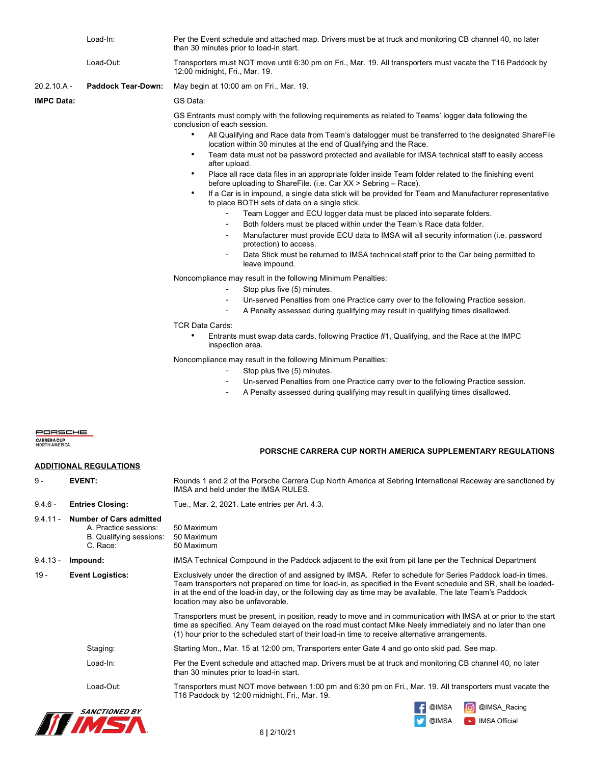|                                         | Load-In:                                                                                       | Per the Event schedule and attached map. Drivers must be at truck and monitoring CB channel 40, no later<br>than 30 minutes prior to load-in start.                                                                                                                                                                                                                                                                                                                                                                                                                                                                                                                                                                                                                                                                                                                                                                                                                                                                                                                                                                                                                                                                                                                                                                                                                                                                                                                                                                                                                                                                                                                                                                                                                                                                                                                                                                    |
|-----------------------------------------|------------------------------------------------------------------------------------------------|------------------------------------------------------------------------------------------------------------------------------------------------------------------------------------------------------------------------------------------------------------------------------------------------------------------------------------------------------------------------------------------------------------------------------------------------------------------------------------------------------------------------------------------------------------------------------------------------------------------------------------------------------------------------------------------------------------------------------------------------------------------------------------------------------------------------------------------------------------------------------------------------------------------------------------------------------------------------------------------------------------------------------------------------------------------------------------------------------------------------------------------------------------------------------------------------------------------------------------------------------------------------------------------------------------------------------------------------------------------------------------------------------------------------------------------------------------------------------------------------------------------------------------------------------------------------------------------------------------------------------------------------------------------------------------------------------------------------------------------------------------------------------------------------------------------------------------------------------------------------------------------------------------------------|
|                                         | Load-Out:                                                                                      | Transporters must NOT move until 6:30 pm on Fri., Mar. 19. All transporters must vacate the T16 Paddock by<br>12:00 midnight, Fri., Mar. 19.                                                                                                                                                                                                                                                                                                                                                                                                                                                                                                                                                                                                                                                                                                                                                                                                                                                                                                                                                                                                                                                                                                                                                                                                                                                                                                                                                                                                                                                                                                                                                                                                                                                                                                                                                                           |
| 20.2.10.A -                             | <b>Paddock Tear-Down:</b>                                                                      | May begin at 10:00 am on Fri., Mar. 19.                                                                                                                                                                                                                                                                                                                                                                                                                                                                                                                                                                                                                                                                                                                                                                                                                                                                                                                                                                                                                                                                                                                                                                                                                                                                                                                                                                                                                                                                                                                                                                                                                                                                                                                                                                                                                                                                                |
| <b>IMPC Data:</b>                       |                                                                                                | GS Data:                                                                                                                                                                                                                                                                                                                                                                                                                                                                                                                                                                                                                                                                                                                                                                                                                                                                                                                                                                                                                                                                                                                                                                                                                                                                                                                                                                                                                                                                                                                                                                                                                                                                                                                                                                                                                                                                                                               |
|                                         |                                                                                                | GS Entrants must comply with the following requirements as related to Teams' logger data following the<br>conclusion of each session.<br>$\bullet$<br>All Qualifying and Race data from Team's datalogger must be transferred to the designated ShareFile<br>location within 30 minutes at the end of Qualifying and the Race.<br>Team data must not be password protected and available for IMSA technical staff to easily access<br>٠<br>after upload.<br>Place all race data files in an appropriate folder inside Team folder related to the finishing event<br>٠<br>before uploading to ShareFile. (i.e. Car XX > Sebring - Race).<br>If a Car is in impound, a single data stick will be provided for Team and Manufacturer representative<br>$\bullet$<br>to place BOTH sets of data on a single stick.<br>Team Logger and ECU logger data must be placed into separate folders.<br>Both folders must be placed within under the Team's Race data folder.<br>$\overline{\phantom{a}}$<br>Manufacturer must provide ECU data to IMSA will all security information (i.e. password<br>$\overline{\phantom{a}}$<br>protection) to access.<br>Data Stick must be returned to IMSA technical staff prior to the Car being permitted to<br>leave impound.<br>Noncompliance may result in the following Minimum Penalties:<br>Stop plus five (5) minutes.<br>$\overline{\phantom{a}}$<br>Un-served Penalties from one Practice carry over to the following Practice session.<br>$\overline{\phantom{a}}$<br>A Penalty assessed during qualifying may result in qualifying times disallowed.<br>TCR Data Cards:<br>Entrants must swap data cards, following Practice #1, Qualifying, and the Race at the IMPC<br>inspection area.<br>Noncompliance may result in the following Minimum Penalties:<br>Stop plus five (5) minutes.<br>Un-served Penalties from one Practice carry over to the following Practice session. |
|                                         |                                                                                                | A Penalty assessed during qualifying may result in qualifying times disallowed.                                                                                                                                                                                                                                                                                                                                                                                                                                                                                                                                                                                                                                                                                                                                                                                                                                                                                                                                                                                                                                                                                                                                                                                                                                                                                                                                                                                                                                                                                                                                                                                                                                                                                                                                                                                                                                        |
| PORSCHE<br>CARRERA CUP<br>NORTH AMERICA | <b>ADDITIONAL REGULATIONS</b>                                                                  | PORSCHE CARRERA CUP NORTH AMERICA SUPPLEMENTARY REGULATIONS                                                                                                                                                                                                                                                                                                                                                                                                                                                                                                                                                                                                                                                                                                                                                                                                                                                                                                                                                                                                                                                                                                                                                                                                                                                                                                                                                                                                                                                                                                                                                                                                                                                                                                                                                                                                                                                            |
| 9 -                                     | <b>EVENT:</b>                                                                                  | Rounds 1 and 2 of the Porsche Carrera Cup North America at Sebring International Raceway are sanctioned by                                                                                                                                                                                                                                                                                                                                                                                                                                                                                                                                                                                                                                                                                                                                                                                                                                                                                                                                                                                                                                                                                                                                                                                                                                                                                                                                                                                                                                                                                                                                                                                                                                                                                                                                                                                                             |
|                                         |                                                                                                | IMSA and held under the IMSA RULES.                                                                                                                                                                                                                                                                                                                                                                                                                                                                                                                                                                                                                                                                                                                                                                                                                                                                                                                                                                                                                                                                                                                                                                                                                                                                                                                                                                                                                                                                                                                                                                                                                                                                                                                                                                                                                                                                                    |
| $9.4.6 -$                               | <b>Entries Closing:</b>                                                                        | Tue., Mar. 2, 2021. Late entries per Art. 4.3.                                                                                                                                                                                                                                                                                                                                                                                                                                                                                                                                                                                                                                                                                                                                                                                                                                                                                                                                                                                                                                                                                                                                                                                                                                                                                                                                                                                                                                                                                                                                                                                                                                                                                                                                                                                                                                                                         |
| $9.4.11 -$                              | <b>Number of Cars admitted</b><br>A. Practice sessions:<br>B. Qualifying sessions:<br>C. Race: | 50 Maximum<br>50 Maximum<br>50 Maximum                                                                                                                                                                                                                                                                                                                                                                                                                                                                                                                                                                                                                                                                                                                                                                                                                                                                                                                                                                                                                                                                                                                                                                                                                                                                                                                                                                                                                                                                                                                                                                                                                                                                                                                                                                                                                                                                                 |
| $9.4.13 -$                              | Impound:                                                                                       | IMSA Technical Compound in the Paddock adjacent to the exit from pit lane per the Technical Department                                                                                                                                                                                                                                                                                                                                                                                                                                                                                                                                                                                                                                                                                                                                                                                                                                                                                                                                                                                                                                                                                                                                                                                                                                                                                                                                                                                                                                                                                                                                                                                                                                                                                                                                                                                                                 |
| 19 -                                    | <b>Event Logistics:</b>                                                                        | Exclusively under the direction of and assigned by IMSA. Refer to schedule for Series Paddock load-in times.<br>Team transporters not prepared on time for load-in, as specified in the Event schedule and SR, shall be loaded-<br>in at the end of the load-in day, or the following day as time may be available. The late Team's Paddock<br>location may also be unfavorable.                                                                                                                                                                                                                                                                                                                                                                                                                                                                                                                                                                                                                                                                                                                                                                                                                                                                                                                                                                                                                                                                                                                                                                                                                                                                                                                                                                                                                                                                                                                                       |
|                                         |                                                                                                | Transporters must be present, in position, ready to move and in communication with IMSA at or prior to the start<br>time as specified. Any Team delayed on the road must contact Mike Neely immediately and no later than one<br>(1) hour prior to the scheduled start of their load-in time to receive alternative arrangements.                                                                                                                                                                                                                                                                                                                                                                                                                                                                                                                                                                                                                                                                                                                                                                                                                                                                                                                                                                                                                                                                                                                                                                                                                                                                                                                                                                                                                                                                                                                                                                                      |
|                                         | Staging:                                                                                       | Starting Mon., Mar. 15 at 12:00 pm, Transporters enter Gate 4 and go onto skid pad. See map.                                                                                                                                                                                                                                                                                                                                                                                                                                                                                                                                                                                                                                                                                                                                                                                                                                                                                                                                                                                                                                                                                                                                                                                                                                                                                                                                                                                                                                                                                                                                                                                                                                                                                                                                                                                                                           |

Load-In: Per the Event schedule and attached map. Drivers must be at truck and monitoring CB channel 40, no later than 30 minutes prior to load-in start.

Load-Out: Transporters must NOT move between 1:00 pm and 6:30 pm on Fri., Mar. 19. All transporters must vacate the



T16 Paddock by 12:00 midnight, Fri., Mar. 19.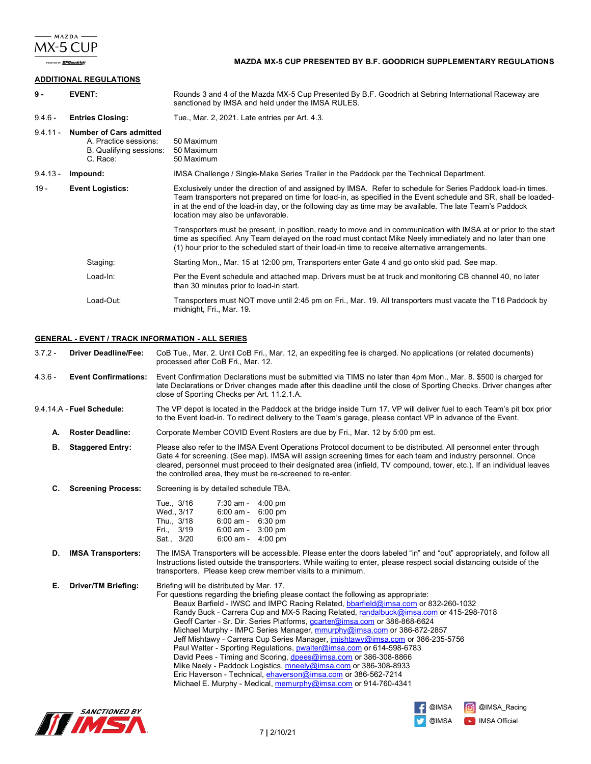

**TORY: BFGoodrich** 

## **MAZDA MX-5 CUP PRESENTED BY B.F. GOODRICH SUPPLEMENTARY REGULATIONS**

## **ADDITIONAL REGULATIONS**

| $9 -$      | <b>EVENT:</b>                                                                                  | Rounds 3 and 4 of the Mazda MX-5 Cup Presented By B.F. Goodrich at Sebring International Raceway are<br>sanctioned by IMSA and held under the IMSA RULES.                                                                                                                                                                                                                        |  |
|------------|------------------------------------------------------------------------------------------------|----------------------------------------------------------------------------------------------------------------------------------------------------------------------------------------------------------------------------------------------------------------------------------------------------------------------------------------------------------------------------------|--|
| $9.4.6 -$  | <b>Entries Closing:</b>                                                                        | Tue., Mar. 2, 2021. Late entries per Art. 4.3.                                                                                                                                                                                                                                                                                                                                   |  |
| $9.4.11 -$ | <b>Number of Cars admitted</b><br>A. Practice sessions:<br>B. Qualifying sessions:<br>C. Race: | 50 Maximum<br>50 Maximum<br>50 Maximum                                                                                                                                                                                                                                                                                                                                           |  |
| $9.4.13 -$ | Impound:                                                                                       | IMSA Challenge / Single-Make Series Trailer in the Paddock per the Technical Department.                                                                                                                                                                                                                                                                                         |  |
| $19 -$     | <b>Event Logistics:</b>                                                                        | Exclusively under the direction of and assigned by IMSA. Refer to schedule for Series Paddock load-in times.<br>Team transporters not prepared on time for load-in, as specified in the Event schedule and SR, shall be loaded-<br>in at the end of the load-in day, or the following day as time may be available. The late Team's Paddock<br>location may also be unfavorable. |  |
|            |                                                                                                | Transporters must be present, in position, ready to move and in communication with IMSA at or prior to the start<br>time as specified. Any Team delayed on the road must contact Mike Neely immediately and no later than one<br>(1) hour prior to the scheduled start of their load-in time to receive alternative arrangements.                                                |  |
|            | Staging:                                                                                       | Starting Mon., Mar. 15 at 12:00 pm, Transporters enter Gate 4 and go onto skid pad. See map.                                                                                                                                                                                                                                                                                     |  |
|            | Load-In:                                                                                       | Per the Event schedule and attached map. Drivers must be at truck and monitoring CB channel 40, no later<br>than 30 minutes prior to load-in start.                                                                                                                                                                                                                              |  |
|            | Load-Out:                                                                                      | Transporters must NOT move until 2:45 pm on Fri., Mar. 19. All transporters must vacate the T16 Paddock by<br>midnight, Fri., Mar. 19.                                                                                                                                                                                                                                           |  |

### **GENERAL - EVENT / TRACK INFORMATION - ALL SERIES**

3.7.2 - **Driver Deadline/Fee:** CoB Tue., Mar. 2. Until CoB Fri., Mar. 12, an expediting fee is charged. No applications (or related documents) processed after CoB Fri., Mar. 12.

4.3.6 - **Event Confirmations:** Event Confirmation Declarations must be submitted via TIMS no later than 4pm Mon., Mar. 8. \$500 is charged for late Declarations or Driver changes made after this deadline until the close of Sporting Checks. Driver changes after close of Sporting Checks per Art. 11.2.1.A.

- 9.4.14.A **Fuel Schedule:** The VP depot is located in the Paddock at the bridge inside Turn 17. VP will deliver fuel to each Team's pit box prior to the Event load-in. To redirect delivery to the Team's garage, please contact VP in advance of the Event.
	- **A. Roster Deadline:** Corporate Member COVID Event Rosters are due by Fri., Mar. 12 by 5:00 pm est.
	- **B. Staggered Entry:** Please also refer to the IMSA Event Operations Protocol document to be distributed. All personnel enter through Gate 4 for screening. (See map). IMSA will assign screening times for each team and industry personnel. Once cleared, personnel must proceed to their designated area (infield, TV compound, tower, etc.). If an individual leaves the controlled area, they must be re-screened to re-enter.
	- **C. Screening Process:** Screening is by detailed schedule TBA.

| Tue., 3/16 | 7:30 am -   | $4:00 \text{ pm}$ |
|------------|-------------|-------------------|
| Wed., 3/17 | $6:00$ am - | $6:00$ pm         |
| Thu., 3/18 | $6:00$ am - | 6:30 pm           |
| Fri., 3/19 | $6:00$ am - | $3:00$ pm         |
| Sat., 3/20 | $6:00$ am - | $4:00$ pm         |

#### **D. IMSA Transporters:** The IMSA Transporters will be accessible. Please enter the doors labeled "in" and "out" appropriately, and follow all Instructions listed outside the transporters. While waiting to enter, please respect social distancing outside of the transporters. Please keep crew member visits to a minimum.

**E. Driver/TM Briefing:** Briefing will be distributed by Mar. 17. For questions regarding the briefing please contact the following as appropriate: Beaux Barfield - IWSC and IMPC Racing Related, bbarfield@imsa.com or 832-260-1032 Randy Buck - Carrera Cup and MX-5 Racing Related, randalbuck@imsa.com or 415-298-7018 Geoff Carter - Sr. Dir. Series Platforms, gcarter@imsa.com or 386-868-6624 Michael Murphy - IMPC Series Manager, mmurphy@imsa.com or 386-872-2857 Jeff Mishtawy - Carrera Cup Series Manager, jmishtawy@imsa.com or 386-235-5756 Paul Walter - Sporting Regulations, **pwalter@imsa.com** or 614-598-6783 David Pees - Timing and Scoring, dpees@imsa.com or 386-308-8866 Mike Neely - Paddock Logistics, mneely@imsa.com or 386-308-8933 Eric Haverson - Technical, ehaverson@imsa.com or 386-562-7214 Michael E. Murphy - Medical, memurphy@imsa.com or 914-760-4341



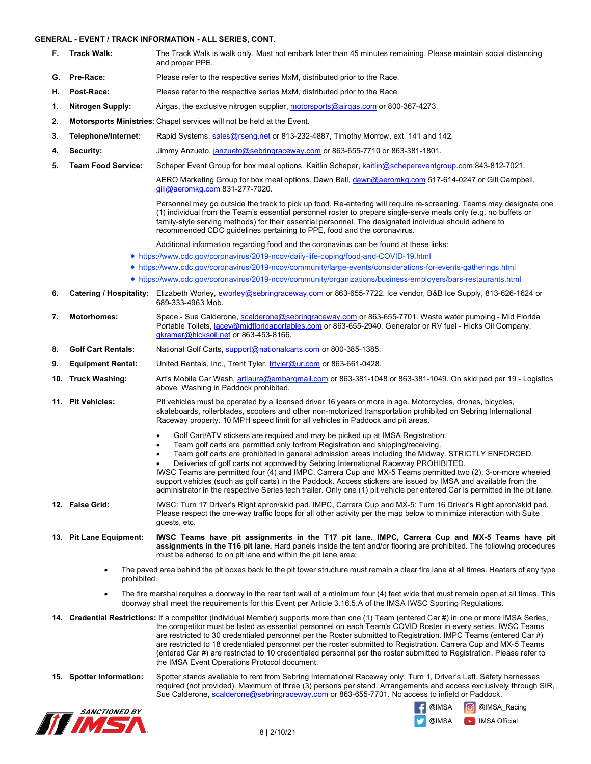## **GENERAL - EVENT / TRACK INFORMATION - ALL SERIES, CONT.**

- **F.** Track Walk: The Track Walk is walk only. Must not embark later than 45 minutes remaining. Please maintain social distancing and proper PPE.
- **G. Pre-Race:** Please refer to the respective series MxM, distributed prior to the Race.
- **H. Post-Race:** Please refer to the respective series MxM, distributed prior to the Race.
- **1. Nitrogen Supply:** Airgas, the exclusive nitrogen supplier, motorsports@airgas.com or 800-367-4273.
- **2. Motorsports Ministries**: Chapel services will not be held at the Event.
- **3. Telephone/Internet:** Rapid Systems, sales@rseng.net or 813-232-4887, Timothy Morrow, ext. 141 and 142.
- **4. Security:** Jimmy Anzueto, janzueto@sebringraceway.com or 863-655-7710 or 863-381-1801.
- **5. Team Food Service:** Scheper Event Group for box meal options. Kaitlin Scheper, kaitlin@schepereventgroup.com 843-812-7021.

AERO Marketing Group for box meal options. Dawn Bell, dawn@aeromkg.com 517-614-0247 or Gill Campbell, gill@aeromkg.com 831-277-7020.

Personnel may go outside the track to pick up food. Re-entering will require re-screening. Teams may designate one (1) individual from the Team's essential personnel roster to prepare single-serve meals only (e.g. no buffets or family-style serving methods) for their essential personnel. The designated individual should adhere to recommended CDC guidelines pertaining to PPE, food and the coronavirus.

Additional information regarding food and the coronavirus can be found at these links:

- https://www.cdc.gov/coronavirus/2019-ncov/daily-life-coping/food-and-COVID-19.html
- https://www.cdc.gov/coronavirus/2019-ncov/community/large-events/considerations-for-events-gatherings.html
- https://www.cdc.gov/coronavirus/2019-ncov/community/organizations/business-employers/bars-restaurants.html
- **6. Catering / Hospitality:** Elizabeth Worley, eworley@sebringraceway.com or 863-655-7722. Ice vendor, B&B Ice Supply, 813-626-1624 or 689-333-4963 Mob.
- **7. Motorhomes:** Space Sue Calderone, scalderone@sebringraceway.com or 863-655-7701. Waste water pumping Mid Florida Portable Toilets, lacey@midfloridaportables.com or 863-655-2940. Generator or RV fuel - Hicks Oil Company, gkramer@hicksoil.net or 863-453-8166.
- **8. Golf Cart Rentals:** National Golf Carts, support@nationalcarts.com or 800-385-1385.
- **9. Equipment Rental:** United Rentals, Inc., Trent Tyler, trtyler@ur.com or 863-661-0428.
- **10. Truck Washing:** Art's Mobile Car Wash, artlaura@embarqmail.com or 863-381-1048 or 863-381-1049. On skid pad per 19 Logistics above. Washing in Paddock prohibited.
- **11. Pit Vehicles:** Pit vehicles must be operated by a licensed driver 16 years or more in age. Motorcycles, drones, bicycles, skateboards, rollerblades, scooters and other non-motorized transportation prohibited on Sebring International Raceway property. 10 MPH speed limit for all vehicles in Paddock and pit areas.
	- Golf Cart/ATV stickers are required and may be picked up at IMSA Registration.
	- Team golf carts are permitted only to/from Registration and shipping/receiving.
	- Team golf carts are prohibited in general admission areas including the Midway. STRICTLY ENFORCED.
	- Deliveries of golf carts not approved by Sebring International Raceway PROHIBITED.

IWSC Teams are permitted four (4) and IMPC, Carrera Cup and MX-5 Teams permitted two (2), 3-or-more wheeled support vehicles (such as golf carts) in the Paddock. Access stickers are issued by IMSA and available from the administrator in the respective Series tech trailer. Only one (1) pit vehicle per entered Car is permitted in the pit lane.

- **12. False Grid:** IWSC: Turn 17 Driver's Right apron/skid pad. IMPC, Carrera Cup and MX-5: Turn 16 Driver's Right apron/skid pad. Please respect the one-way traffic loops for all other activity per the map below to minimize interaction with Suite guests, etc.
- **13. Pit Lane Equipment: IWSC Teams have pit assignments in the T17 pit lane. IMPC, Carrera Cup and MX-5 Teams have pit assignments in the T16 pit lane.** Hard panels inside the tent and/or flooring are prohibited. The following procedures must be adhered to on pit lane and within the pit lane area:
	- The paved area behind the pit boxes back to the pit tower structure must remain a clear fire lane at all times. Heaters of any type prohibited.
	- The fire marshal requires a doorway in the rear tent wall of a minimum four (4) feet wide that must remain open at all times. This doorway shall meet the requirements for this Event per Article 3.16.5.A of the IMSA IWSC Sporting Regulations.
- **14. Credential Restrictions:** If a competitor (individual Member) supports more than one (1) Team (entered Car #) in one or more IMSA Series, the competitor must be listed as essential personnel on each Team's COVID Roster in every series. IWSC Teams are restricted to 30 credentialed personnel per the Roster submitted to Registration. IMPC Teams (entered Car #) are restricted to 18 credentialed personnel per the roster submitted to Registration. Carrera Cup and MX-5 Teams (entered Car #) are restricted to 10 credentialed personnel per the roster submitted to Registration. Please refer to the IMSA Event Operations Protocol document.
- **15. Spotter Information:** Spotter stands available to rent from Sebring International Raceway only, Turn 1, Driver's Left. Safety harnesses required (not provided). Maximum of three (3) persons per stand. Arrangements and access exclusively through SIR, Sue Calderone, scalderone@sebringraceway.com or 863-655-7701. No access to infield or Paddock.



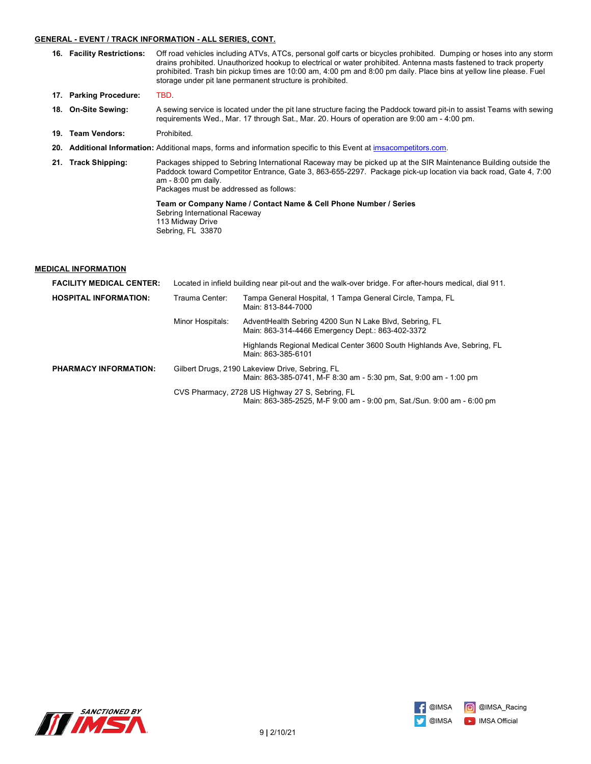### **GENERAL - EVENT / TRACK INFORMATION - ALL SERIES, CONT.**

- **16. Facility Restrictions:** Off road vehicles including ATVs, ATCs, personal golf carts or bicycles prohibited. Dumping or hoses into any storm drains prohibited. Unauthorized hookup to electrical or water prohibited. Antenna masts fastened to track property prohibited. Trash bin pickup times are 10:00 am, 4:00 pm and 8:00 pm daily. Place bins at yellow line please. Fuel storage under pit lane permanent structure is prohibited.
- **17. Parking Procedure:** TBD.
- **18. On-Site Sewing:** A sewing service is located under the pit lane structure facing the Paddock toward pit-in to assist Teams with sewing requirements Wed., Mar. 17 through Sat., Mar. 20. Hours of operation are 9:00 am - 4:00 pm.
- 19. **Team Vendors:** Prohibited.
- **20. Additional Information:** Additional maps, forms and information specific to this Event at imsacompetitors.com.
- **21. Track Shipping:** Packages shipped to Sebring International Raceway may be picked up at the SIR Maintenance Building outside the Paddock toward Competitor Entrance, Gate 3, 863-655-2297. Package pick-up location via back road, Gate 4, 7:00 am - 8:00 pm daily. Packages must be addressed as follows:

**Team or Company Name / Contact Name & Cell Phone Number / Series** Sebring International Raceway 113 Midway Drive Sebring, FL 33870

## **MEDICAL INFORMATION**

| <b>FACILITY MEDICAL CENTER:</b> | Located in infield building near pit-out and the walk-over bridge. For after-hours medical, dial 911.                |                                                                                                                           |
|---------------------------------|----------------------------------------------------------------------------------------------------------------------|---------------------------------------------------------------------------------------------------------------------------|
| <b>HOSPITAL INFORMATION:</b>    | Trauma Center:<br>Tampa General Hospital, 1 Tampa General Circle, Tampa, FL<br>Main: 813-844-7000                    |                                                                                                                           |
|                                 | Minor Hospitals:                                                                                                     | AdventHealth Sebring 4200 Sun N Lake Blvd, Sebring, FL<br>Main: 863-314-4466 Emergency Dept.: 863-402-3372                |
|                                 |                                                                                                                      | Highlands Regional Medical Center 3600 South Highlands Ave, Sebring, FL<br>Main: 863-385-6101                             |
| <b>PHARMACY INFORMATION:</b>    | Gilbert Drugs, 2190 Lakeview Drive, Sebring, FL<br>Main: 863-385-0741, M-F 8:30 am - 5:30 pm, Sat, 9:00 am - 1:00 pm |                                                                                                                           |
|                                 |                                                                                                                      | CVS Pharmacy, 2728 US Highway 27 S, Sebring, FL<br>Main: 863-385-2525, M-F 9:00 am - 9:00 pm, Sat./Sun. 9:00 am - 6:00 pm |



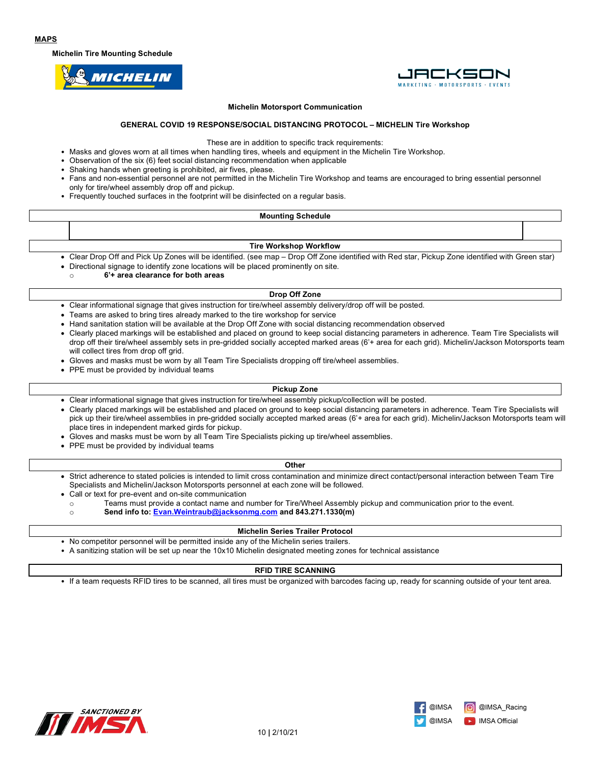**Michelin Tire Mounting Schedule**





#### **Michelin Motorsport Communication**

#### **GENERAL COVID 19 RESPONSE/SOCIAL DISTANCING PROTOCOL – MICHELIN Tire Workshop**

These are in addition to specific track requirements:

- Masks and gloves worn at all times when handling tires, wheels and equipment in the Michelin Tire Workshop.
- Observation of the six (6) feet social distancing recommendation when applicable
- Shaking hands when greeting is prohibited, air fives, please.
- Fans and non-essential personnel are not permitted in the Michelin Tire Workshop and teams are encouraged to bring essential personnel only for tire/wheel assembly drop off and pickup.
- Frequently touched surfaces in the footprint will be disinfected on a regular basis.

### **Mounting Schedule**

#### **Tire Workshop Workflow**

- Clear Drop Off and Pick Up Zones will be identified. (see map Drop Off Zone identified with Red star, Pickup Zone identified with Green star)
- Directional signage to identify zone locations will be placed prominently on site.

o **6'+ area clearance for both areas**

#### **Drop Off Zone**

- Clear informational signage that gives instruction for tire/wheel assembly delivery/drop off will be posted.
- Teams are asked to bring tires already marked to the tire workshop for service
- Hand sanitation station will be available at the Drop Off Zone with social distancing recommendation observed
- Clearly placed markings will be established and placed on ground to keep social distancing parameters in adherence. Team Tire Specialists will drop off their tire/wheel assembly sets in pre-gridded socially accepted marked areas (6'+ area for each grid). Michelin/Jackson Motorsports team will collect tires from drop off grid.
- Gloves and masks must be worn by all Team Tire Specialists dropping off tire/wheel assemblies.
- PPE must be provided by individual teams

#### **Pickup Zone**

- Clear informational signage that gives instruction for tire/wheel assembly pickup/collection will be posted.
- Clearly placed markings will be established and placed on ground to keep social distancing parameters in adherence. Team Tire Specialists will pick up their tire/wheel assemblies in pre-gridded socially accepted marked areas (6'+ area for each grid). Michelin/Jackson Motorsports team will place tires in independent marked girds for pickup.
- Gloves and masks must be worn by all Team Tire Specialists picking up tire/wheel assemblies.
- PPE must be provided by individual teams

#### **Other**

- Strict adherence to stated policies is intended to limit cross contamination and minimize direct contact/personal interaction between Team Tire Specialists and Michelin/Jackson Motorsports personnel at each zone will be followed.
- Call or text for pre-event and on-site communication
	- o Teams must provide a contact name and number for Tire/Wheel Assembly pickup and communication prior to the event.<br>Send info to: Evan.Weintraub@jacksonmg.com and 843.271.1330(m) Send info to: Evan.Weintraub@jacksonmg.com and 843.271.1330(m)
		-

#### **Michelin Series Trailer Protocol**

- No competitor personnel will be permitted inside any of the Michelin series trailers.
- A sanitizing station will be set up near the 10x10 Michelin designated meeting zones for technical assistance

#### **RFID TIRE SCANNING**

• If a team requests RFID tires to be scanned, all tires must be organized with barcodes facing up, ready for scanning outside of your tent area.